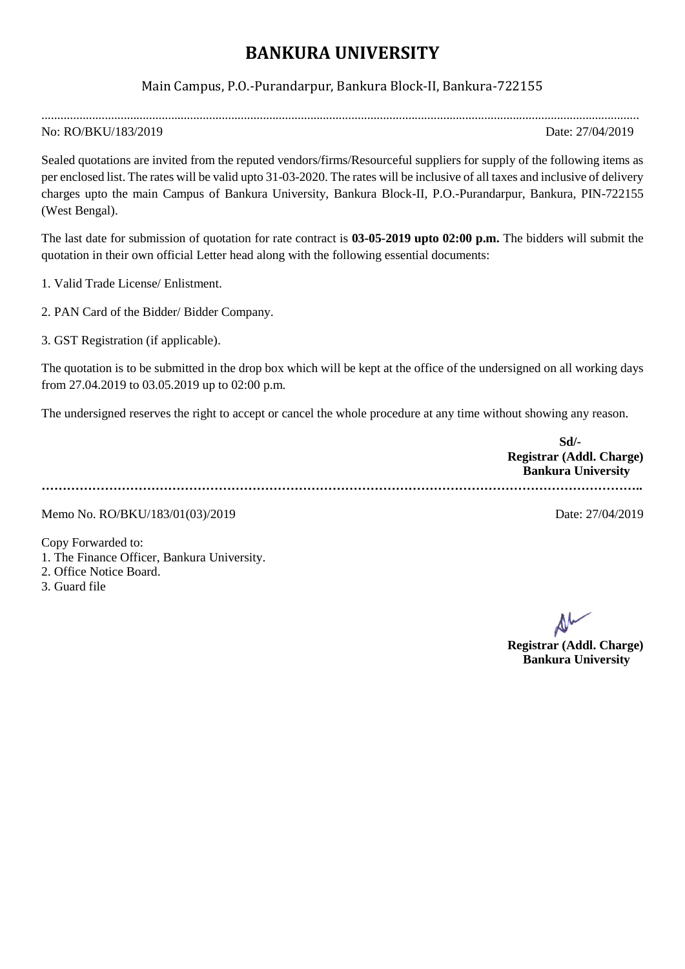## **BANKURA UNIVERSITY**

## Main Campus, P.O.-Purandarpur, Bankura Block-II, Bankura-722155

.............................................................................................................................................................................................

## No: RO/BKU/183/2019 Date: 27/04/2019

Sealed quotations are invited from the reputed vendors/firms/Resourceful suppliers for supply of the following items as per enclosed list. The rates will be valid upto 31-03-2020. The rates will be inclusive of all taxes and inclusive of delivery charges upto the main Campus of Bankura University, Bankura Block-II, P.O.-Purandarpur, Bankura, PIN-722155 (West Bengal).

The last date for submission of quotation for rate contract is **03-05-2019 upto 02:00 p.m.** The bidders will submit the quotation in their own official Letter head along with the following essential documents:

1. Valid Trade License/ Enlistment.

2. PAN Card of the Bidder/ Bidder Company.

3. GST Registration (if applicable).

The quotation is to be submitted in the drop box which will be kept at the office of the undersigned on all working days from 27.04.2019 to 03.05.2019 up to 02:00 p.m.

The undersigned reserves the right to accept or cancel the whole procedure at any time without showing any reason.

| Sd                        |  |
|---------------------------|--|
| Registrar (Addl. Charge)  |  |
| <b>Bankura University</b> |  |
|                           |  |

Memo No. RO/BKU/183/01(03)/2019 Date: 27/04/2019

Copy Forwarded to: 1. The Finance Officer, Bankura University. 2. Office Notice Board.

3. Guard file

**Registrar (Addl. Charge) Bankura University**